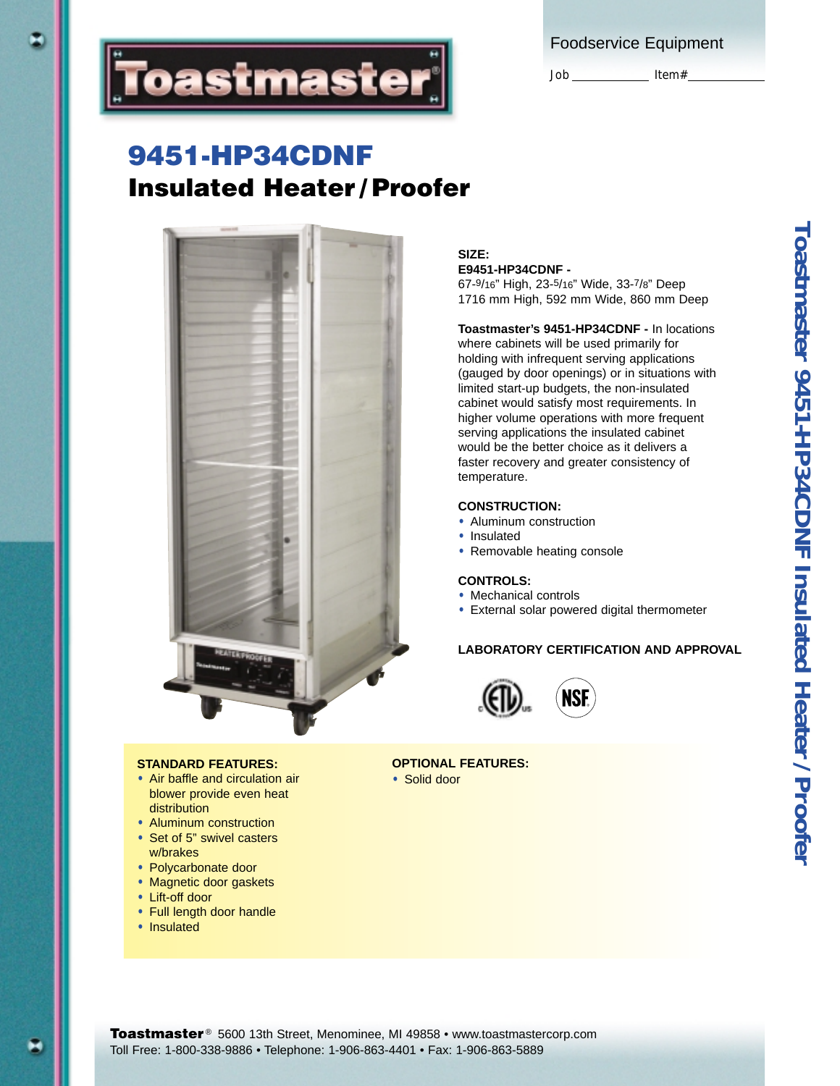|  | <b>Foodservice Equipment</b> |  |
|--|------------------------------|--|
|  |                              |  |

Job Item#



# **9451-HP34CDNF Insulated Heater / Proofer**



## **SIZE: E9451-HP34CDNF -**

67-9/16" High, 23-5/16" Wide, 33-7/8" Deep 1716 mm High, 592 mm Wide, 860 mm Deep

**Toastmaster's 9451-HP34CDNF -** In locations where cabinets will be used primarily for holding with infrequent serving applications (gauged by door openings) or in situations with limited start-up budgets, the non-insulated cabinet would satisfy most requirements. In higher volume operations with more frequent serving applications the insulated cabinet would be the better choice as it delivers a faster recovery and greater consistency of temperature.

## **CONSTRUCTION:**

- **•** Aluminum construction
- **•** Insulated
- **•** Removable heating console

## **CONTROLS:**

- **•** Mechanical controls
- **•** External solar powered digital thermometer

## **LABORATORY CERTIFICATION AND APPROVAL**



### **OPTIONAL FEATURES:**

**•** Solid door

**•** Air baffle and circulation air blower provide even heat

**STANDARD FEATURES:**

- distribution **•** Aluminum construction
- **•** Set of 5" swivel casters
- w/brakes
- **•** Polycarbonate door
- **•** Magnetic door gaskets
- **•** Lift-off door
- **•** Full length door handle
- **•** Insulated